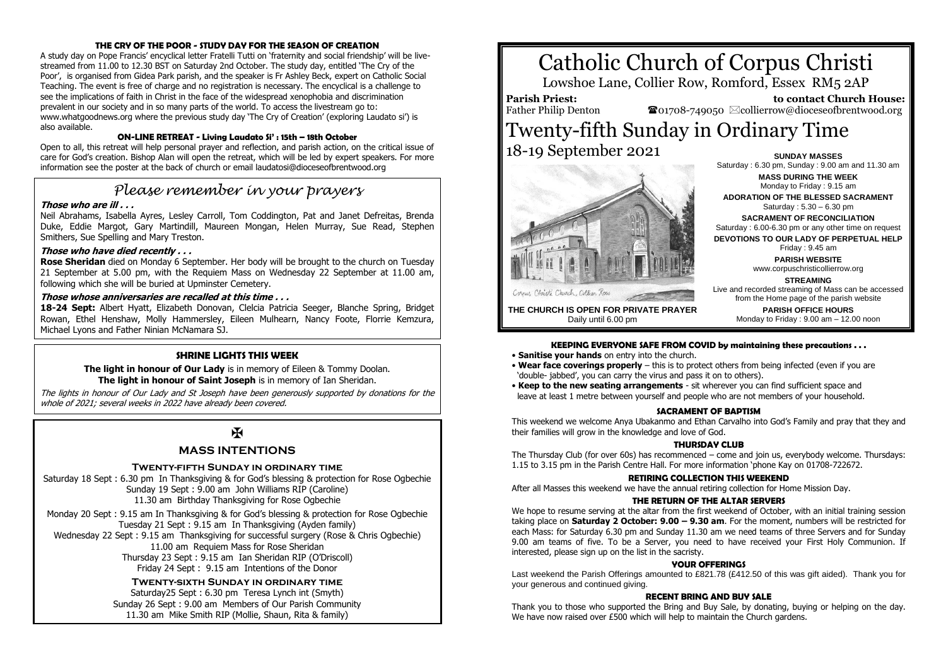# **THE CRY OF THE POOR - STUDY DAY FOR THE SEASON OF CREATION**

A study day on Pope Francis' encyclical letter Fratelli Tutti on 'fraternity and social friendship' will be livestreamed from 11.00 to 12.30 BST on Saturday 2nd October. The study day, entitled 'The Cry of the Poor', is organised from Gidea Park parish, and the speaker is Fr Ashley Beck, expert on Catholic Social Teaching. The event is free of charge and no registration is necessary. The encyclical is a challenge to see the implications of faith in Christ in the face of the widespread xenophobia and discrimination prevalent in our society and in so many parts of the world. To access the livestream go to: www.whatgoodnews.org where the previous study day 'The Cry of Creation' (exploring Laudato si') is also available.

#### **ON-LINE RETREAT - Living Laudato Si' : 15th – 18th October**

Open to all, this retreat will help personal prayer and reflection, and parish action, on the critical issue of care for God's creation. Bishop Alan will open the retreat, which will be led by expert speakers. For more information see the poster at the back of church or email laudatosi@dioceseofbrentwood.org

# *Please remember in your prayers*

## **Those who are ill . . .**

Neil Abrahams, Isabella Ayres, Lesley Carroll, Tom Coddington, Pat and Janet Defreitas, Brenda Duke, Eddie Margot, Gary Martindill, Maureen Mongan, Helen Murray, Sue Read, Stephen Smithers, Sue Spelling and Mary Treston.

#### **Those who have died recently . . .**

**Rose Sheridan** died on Monday 6 September. Her body will be brought to the church on Tuesday 21 September at 5.00 pm, with the Requiem Mass on Wednesday 22 September at 11.00 am, following which she will be buried at Upminster Cemetery.

## **Those whose anniversaries are recalled at this time . . .**

**18-24 Sept:** Albert Hyatt, Elizabeth Donovan, Clelcia Patricia Seeger, Blanche Spring, Bridget Rowan, Ethel Henshaw, Molly Hammersley, Eileen Mulhearn, Nancy Foote, Florrie Kemzura, Michael Lyons and Father Ninian McNamara SJ.

# **SHRINE LIGHTS THIS WEEK**

**The light in honour of Our Lady** is in memory of Eileen & Tommy Doolan. **The light in honour of Saint Joseph** is in memory of Ian Sheridan.

The lights in honour of Our Lady and St Joseph have been generously supported by donations for the whole of 2021; several weeks in 2022 have already been covered.

# $\overline{M}$

# **MASS INTENTIONS**

#### **Twenty-fifth Sunday in ordinary time**

Saturday 18 Sept : 6.30 pm In Thanksgiving & for God's blessing & protection for Rose Ogbechie Sunday 19 Sept : 9.00 am John Williams RIP (Caroline) 11.30 am Birthday Thanksgiving for Rose Ogbechie

Monday 20 Sept : 9.15 am In Thanksgiving & for God's blessing & protection for Rose Ogbechie Tuesday 21 Sept : 9.15 am In Thanksgiving (Ayden family) Wednesday 22 Sept : 9.15 am Thanksgiving for successful surgery (Rose & Chris Ogbechie) 11.00 am Requiem Mass for Rose Sheridan Thursday 23 Sept : 9.15 am Ian Sheridan RIP (O'Driscoll) Friday 24 Sept : 9.15 am Intentions of the Donor

> **Twenty-sixth Sunday in ordinary time** Saturday25 Sept : 6.30 pm Teresa Lynch int (Smyth) Sunday 26 Sept : 9.00 am Members of Our Parish Community 11.30 am Mike Smith RIP (Mollie, Shaun, Rita & family)

# Catholic Church of Corpus Christi

Lowshoe Lane, Collier Row, Romford, Essex RM5 2AP

**Parish Priest:** Father Philip Denton

 **to contact Church House:**  $\mathbf{\Omega}_{01708\text{-}749050}$   $\boxtimes$  collierrow@dioceseofbrentwood.org

# Twenty-fifth Sunday in Ordinary Time 18-19 September 2021 **SUNDAY MASSES**



Saturday : 6.30 pm, Sunday : 9.00 am and 11.30 am **MASS DURING THE WEEK** Monday to Friday : 9.15 am **ADORATION OF THE BLESSED SACRAMENT** Saturday : 5.30 – 6.30 pm **SACRAMENT OF RECONCILIATION** Saturday : 6.00-6.30 pm or any other time on request **DEVOTIONS TO OUR LADY OF PERPETUAL HELP** Friday : 9.45 am **PARISH WEBSITE** www.corpuschristicollierrow.org

Live and recorded streaming of Mass can be accessed

**THE CHURCH IS OPEN FOR PRIVATE PRAYER** Daily until 6.00 pm

#### from the Home page of the parish website **PARISH OFFICE HOURS** Monday to Friday : 9.00 am – 12.00 noon

**STREAMING**

#### **KEEPING EVERYONE SAFE FROM COVID by maintaining these precautions . . .**

- **Sanitise your hands** on entry into the church.
- **Wear face coverings properly** this is to protect others from being infected (even if you are 'double- jabbed', you can carry the virus and pass it on to others).
- **Keep to the new seating arrangements** sit wherever you can find sufficient space and leave at least 1 metre between yourself and people who are not members of your household.

#### **SACRAMENT OF BAPTISM**

This weekend we welcome Anya Ubakanmo and Ethan Carvalho into God's Family and pray that they and their families will grow in the knowledge and love of God.

#### **THURSDAY CLUB**

The Thursday Club (for over 60s) has recommenced – come and join us, everybody welcome. Thursdays: 1.15 to 3.15 pm in the Parish Centre Hall. For more information 'phone Kay on 01708-722672.

# **RETIRING COLLECTION THIS WEEKEND**

After all Masses this weekend we have the annual retiring collection for Home Mission Day.

#### **THE RETURN OF THE ALTAR SERVERS**

We hope to resume serving at the altar from the first weekend of October, with an initial training session taking place on **Saturday 2 October: 9.00 – 9.30 am**. For the moment, numbers will be restricted for each Mass: for Saturday 6.30 pm and Sunday 11.30 am we need teams of three Servers and for Sunday 9.00 am teams of five. To be a Server, you need to have received your First Holy Communion. If interested, please sign up on the list in the sacristy.

# **YOUR OFFERINGS**

Last weekend the Parish Offerings amounted to £821.78 (£412.50 of this was gift aided). Thank you for your generous and continued giving.

#### **RECENT BRING AND BUY SALE**

Thank you to those who supported the Bring and Buy Sale, by donating, buying or helping on the day. We have now raised over £500 which will help to maintain the Church gardens.